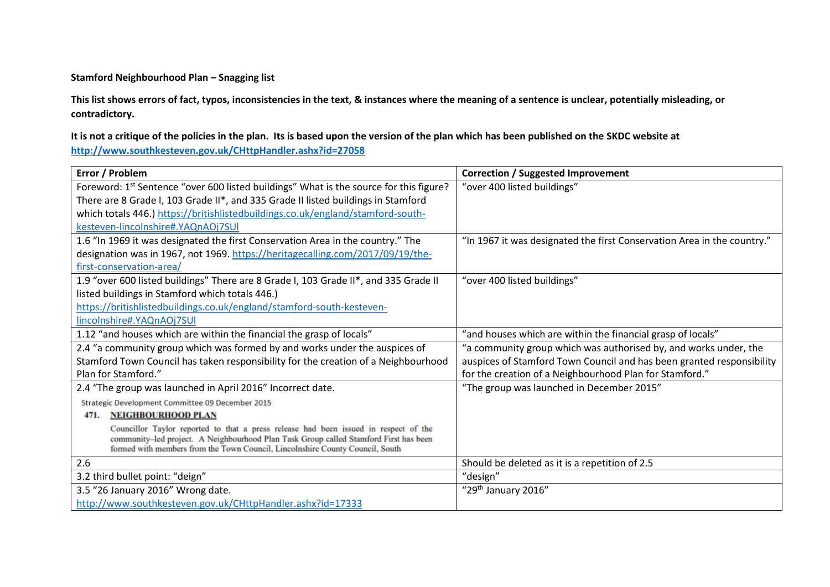## **Stamford Neighbourhood Plan – Snagging list**

**This list shows errors of fact, typos, inconsistencies in the text, & instances where the meaning of a sentence is unclear, potentially misleading, or contradictory.** 

**It is not a critique of the policies in the plan. Its is based upon the version of the plan which has been published on the SKDC website at <http://www.southkesteven.gov.uk/CHttpHandler.ashx?id=27058>**

| Error / Problem                                                                                                                                                               | <b>Correction / Suggested Improvement</b>                               |
|-------------------------------------------------------------------------------------------------------------------------------------------------------------------------------|-------------------------------------------------------------------------|
| Foreword: 1 <sup>st</sup> Sentence "over 600 listed buildings" What is the source for this figure?                                                                            | "over 400 listed buildings"                                             |
| There are 8 Grade I, 103 Grade II*, and 335 Grade II listed buildings in Stamford                                                                                             |                                                                         |
| which totals 446.) https://britishlistedbuildings.co.uk/england/stamford-south-                                                                                               |                                                                         |
| kesteven-lincolnshire#.YAQnAOj7SUI                                                                                                                                            |                                                                         |
| 1.6 "In 1969 it was designated the first Conservation Area in the country." The                                                                                               | "In 1967 it was designated the first Conservation Area in the country." |
| designation was in 1967, not 1969. https://heritagecalling.com/2017/09/19/the-                                                                                                |                                                                         |
| first-conservation-area/                                                                                                                                                      |                                                                         |
| 1.9 "over 600 listed buildings" There are 8 Grade I, 103 Grade II*, and 335 Grade II                                                                                          | "over 400 listed buildings"                                             |
| listed buildings in Stamford which totals 446.)                                                                                                                               |                                                                         |
| https://britishlistedbuildings.co.uk/england/stamford-south-kesteven-                                                                                                         |                                                                         |
| lincolnshire#.YAQnAOj7SUI                                                                                                                                                     |                                                                         |
| 1.12 "and houses which are within the financial the grasp of locals"                                                                                                          | "and houses which are within the financial grasp of locals"             |
| 2.4 "a community group which was formed by and works under the auspices of                                                                                                    | "a community group which was authorised by, and works under, the        |
| Stamford Town Council has taken responsibility for the creation of a Neighbourhood                                                                                            | auspices of Stamford Town Council and has been granted responsibility   |
| Plan for Stamford."                                                                                                                                                           | for the creation of a Neighbourhood Plan for Stamford."                 |
| 2.4 "The group was launched in April 2016" Incorrect date.                                                                                                                    | "The group was launched in December 2015"                               |
| Strategic Development Committee 09 December 2015                                                                                                                              |                                                                         |
| <b>NEIGHBOURHOOD PLAN</b><br>471.                                                                                                                                             |                                                                         |
| Councillor Taylor reported to that a press release had been issued in respect of the<br>community-led project. A Neighbourhood Plan Task Group called Stamford First has been |                                                                         |
| formed with members from the Town Council, Lincolnshire County Council, South                                                                                                 |                                                                         |
| 2.6                                                                                                                                                                           | Should be deleted as it is a repetition of 2.5                          |
| 3.2 third bullet point: "deign"                                                                                                                                               | "design"                                                                |
| 3.5 "26 January 2016" Wrong date.                                                                                                                                             | "29 <sup>th</sup> January 2016"                                         |
| http://www.southkesteven.gov.uk/CHttpHandler.ashx?id=17333                                                                                                                    |                                                                         |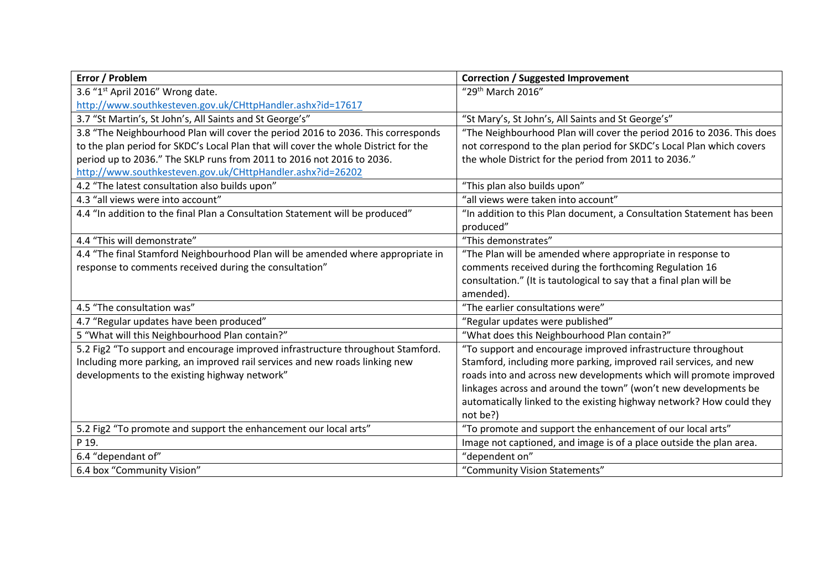| Error / Problem                                                                     | <b>Correction / Suggested Improvement</b>                             |
|-------------------------------------------------------------------------------------|-----------------------------------------------------------------------|
| 3.6 "1st April 2016" Wrong date.                                                    | "29th March 2016"                                                     |
| http://www.southkesteven.gov.uk/CHttpHandler.ashx?id=17617                          |                                                                       |
| 3.7 "St Martin's, St John's, All Saints and St George's"                            | "St Mary's, St John's, All Saints and St George's"                    |
| 3.8 "The Neighbourhood Plan will cover the period 2016 to 2036. This corresponds    | "The Neighbourhood Plan will cover the period 2016 to 2036. This does |
| to the plan period for SKDC's Local Plan that will cover the whole District for the | not correspond to the plan period for SKDC's Local Plan which covers  |
| period up to 2036." The SKLP runs from 2011 to 2016 not 2016 to 2036.               | the whole District for the period from 2011 to 2036."                 |
| http://www.southkesteven.gov.uk/CHttpHandler.ashx?id=26202                          |                                                                       |
| 4.2 "The latest consultation also builds upon"                                      | "This plan also builds upon"                                          |
| 4.3 "all views were into account"                                                   | "all views were taken into account"                                   |
| 4.4 "In addition to the final Plan a Consultation Statement will be produced"       | "In addition to this Plan document, a Consultation Statement has been |
|                                                                                     | produced"                                                             |
| 4.4 "This will demonstrate"                                                         | "This demonstrates"                                                   |
| 4.4 "The final Stamford Neighbourhood Plan will be amended where appropriate in     | "The Plan will be amended where appropriate in response to            |
| response to comments received during the consultation"                              | comments received during the forthcoming Regulation 16                |
|                                                                                     | consultation." (It is tautological to say that a final plan will be   |
|                                                                                     | amended).                                                             |
| 4.5 "The consultation was"                                                          | "The earlier consultations were"                                      |
| 4.7 "Regular updates have been produced"                                            | "Regular updates were published"                                      |
| 5 "What will this Neighbourhood Plan contain?"                                      | "What does this Neighbourhood Plan contain?"                          |
| 5.2 Fig2 "To support and encourage improved infrastructure throughout Stamford.     | "To support and encourage improved infrastructure throughout          |
| Including more parking, an improved rail services and new roads linking new         | Stamford, including more parking, improved rail services, and new     |
| developments to the existing highway network"                                       | roads into and across new developments which will promote improved    |
|                                                                                     | linkages across and around the town" (won't new developments be       |
|                                                                                     | automatically linked to the existing highway network? How could they  |
|                                                                                     | not be?)                                                              |
| 5.2 Fig2 "To promote and support the enhancement our local arts"                    | "To promote and support the enhancement of our local arts"            |
| P 19.                                                                               | Image not captioned, and image is of a place outside the plan area.   |
| 6.4 "dependant of"                                                                  | "dependent on"                                                        |
| 6.4 box "Community Vision"                                                          | "Community Vision Statements"                                         |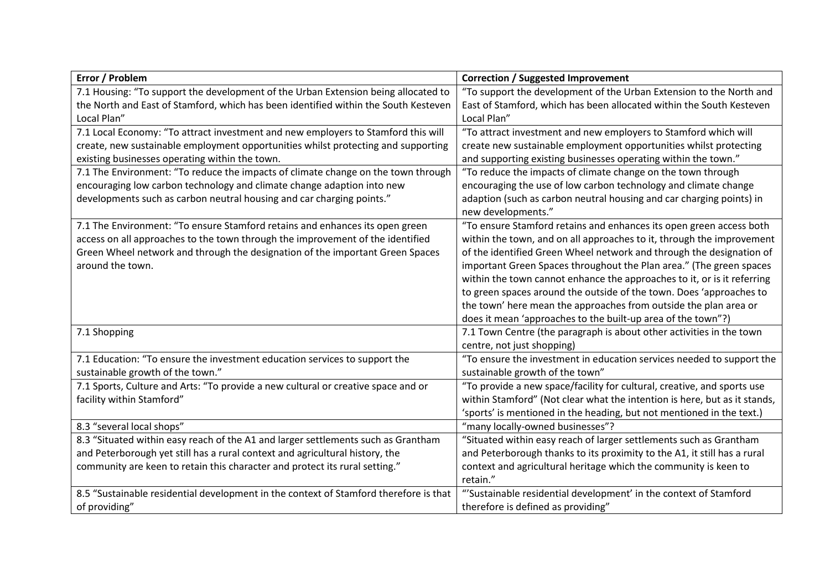| Error / Problem                                                                       | <b>Correction / Suggested Improvement</b>                                 |
|---------------------------------------------------------------------------------------|---------------------------------------------------------------------------|
| 7.1 Housing: "To support the development of the Urban Extension being allocated to    | "To support the development of the Urban Extension to the North and       |
| the North and East of Stamford, which has been identified within the South Kesteven   | East of Stamford, which has been allocated within the South Kesteven      |
| Local Plan"                                                                           | Local Plan"                                                               |
| 7.1 Local Economy: "To attract investment and new employers to Stamford this will     | "To attract investment and new employers to Stamford which will           |
| create, new sustainable employment opportunities whilst protecting and supporting     | create new sustainable employment opportunities whilst protecting         |
| existing businesses operating within the town.                                        | and supporting existing businesses operating within the town."            |
| 7.1 The Environment: "To reduce the impacts of climate change on the town through     | "To reduce the impacts of climate change on the town through              |
| encouraging low carbon technology and climate change adaption into new                | encouraging the use of low carbon technology and climate change           |
| developments such as carbon neutral housing and car charging points."                 | adaption (such as carbon neutral housing and car charging points) in      |
|                                                                                       | new developments."                                                        |
| 7.1 The Environment: "To ensure Stamford retains and enhances its open green          | "To ensure Stamford retains and enhances its open green access both       |
| access on all approaches to the town through the improvement of the identified        | within the town, and on all approaches to it, through the improvement     |
| Green Wheel network and through the designation of the important Green Spaces         | of the identified Green Wheel network and through the designation of      |
| around the town.                                                                      | important Green Spaces throughout the Plan area." (The green spaces       |
|                                                                                       | within the town cannot enhance the approaches to it, or is it referring   |
|                                                                                       | to green spaces around the outside of the town. Does 'approaches to       |
|                                                                                       | the town' here mean the approaches from outside the plan area or          |
|                                                                                       | does it mean 'approaches to the built-up area of the town"?)              |
| 7.1 Shopping                                                                          | 7.1 Town Centre (the paragraph is about other activities in the town      |
|                                                                                       | centre, not just shopping)                                                |
| 7.1 Education: "To ensure the investment education services to support the            | "To ensure the investment in education services needed to support the     |
| sustainable growth of the town."                                                      | sustainable growth of the town"                                           |
| 7.1 Sports, Culture and Arts: "To provide a new cultural or creative space and or     | "To provide a new space/facility for cultural, creative, and sports use   |
| facility within Stamford"                                                             | within Stamford" (Not clear what the intention is here, but as it stands, |
|                                                                                       | 'sports' is mentioned in the heading, but not mentioned in the text.)     |
| 8.3 "several local shops"                                                             | "many locally-owned businesses"?                                          |
| 8.3 "Situated within easy reach of the A1 and larger settlements such as Grantham     | "Situated within easy reach of larger settlements such as Grantham        |
| and Peterborough yet still has a rural context and agricultural history, the          | and Peterborough thanks to its proximity to the A1, it still has a rural  |
| community are keen to retain this character and protect its rural setting."           | context and agricultural heritage which the community is keen to          |
|                                                                                       | retain."                                                                  |
| 8.5 "Sustainable residential development in the context of Stamford therefore is that | "'Sustainable residential development' in the context of Stamford         |
| of providing"                                                                         | therefore is defined as providing"                                        |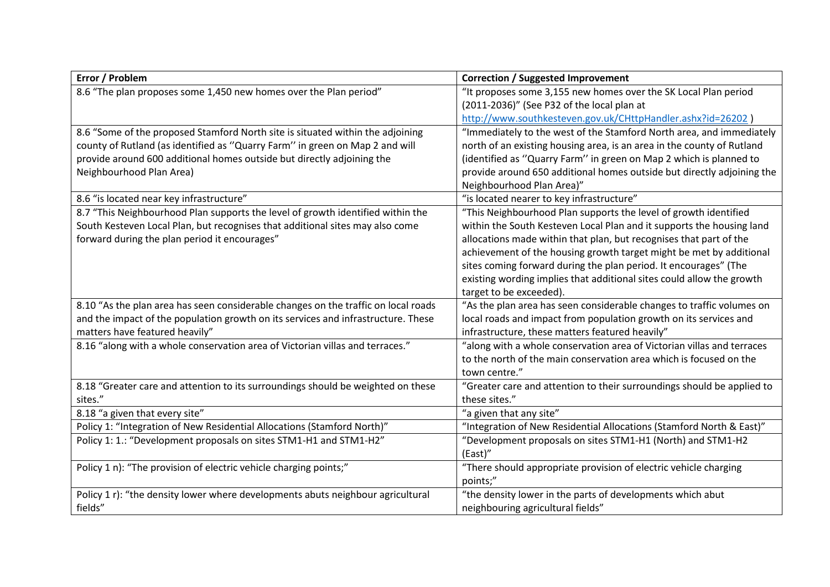| Error / Problem                                                                    | <b>Correction / Suggested Improvement</b>                              |
|------------------------------------------------------------------------------------|------------------------------------------------------------------------|
| 8.6 "The plan proposes some 1,450 new homes over the Plan period"                  | "It proposes some 3,155 new homes over the SK Local Plan period        |
|                                                                                    | (2011-2036)" (See P32 of the local plan at                             |
|                                                                                    | http://www.southkesteven.gov.uk/CHttpHandler.ashx?id=26202 )           |
| 8.6 "Some of the proposed Stamford North site is situated within the adjoining     | "Immediately to the west of the Stamford North area, and immediately   |
| county of Rutland (as identified as "Quarry Farm" in green on Map 2 and will       | north of an existing housing area, is an area in the county of Rutland |
| provide around 600 additional homes outside but directly adjoining the             | (identified as "Quarry Farm" in green on Map 2 which is planned to     |
| Neighbourhood Plan Area)                                                           | provide around 650 additional homes outside but directly adjoining the |
|                                                                                    | Neighbourhood Plan Area)"                                              |
| 8.6 "is located near key infrastructure"                                           | "is located nearer to key infrastructure"                              |
| 8.7 "This Neighbourhood Plan supports the level of growth identified within the    | "This Neighbourhood Plan supports the level of growth identified       |
| South Kesteven Local Plan, but recognises that additional sites may also come      | within the South Kesteven Local Plan and it supports the housing land  |
| forward during the plan period it encourages"                                      | allocations made within that plan, but recognises that part of the     |
|                                                                                    | achievement of the housing growth target might be met by additional    |
|                                                                                    | sites coming forward during the plan period. It encourages" (The       |
|                                                                                    | existing wording implies that additional sites could allow the growth  |
|                                                                                    | target to be exceeded).                                                |
| 8.10 "As the plan area has seen considerable changes on the traffic on local roads | "As the plan area has seen considerable changes to traffic volumes on  |
| and the impact of the population growth on its services and infrastructure. These  | local roads and impact from population growth on its services and      |
| matters have featured heavily"                                                     | infrastructure, these matters featured heavily"                        |
| 8.16 "along with a whole conservation area of Victorian villas and terraces."      | "along with a whole conservation area of Victorian villas and terraces |
|                                                                                    | to the north of the main conservation area which is focused on the     |
|                                                                                    | town centre."                                                          |
| 8.18 "Greater care and attention to its surroundings should be weighted on these   | "Greater care and attention to their surroundings should be applied to |
| sites."                                                                            | these sites."                                                          |
| 8.18 "a given that every site"                                                     | "a given that any site"                                                |
| Policy 1: "Integration of New Residential Allocations (Stamford North)"            | "Integration of New Residential Allocations (Stamford North & East)"   |
| Policy 1: 1.: "Development proposals on sites STM1-H1 and STM1-H2"                 | "Development proposals on sites STM1-H1 (North) and STM1-H2            |
|                                                                                    | (East)"                                                                |
| Policy 1 n): "The provision of electric vehicle charging points;"                  | "There should appropriate provision of electric vehicle charging       |
|                                                                                    | points;"                                                               |
| Policy 1 r): "the density lower where developments abuts neighbour agricultural    | "the density lower in the parts of developments which abut             |
| fields"                                                                            | neighbouring agricultural fields"                                      |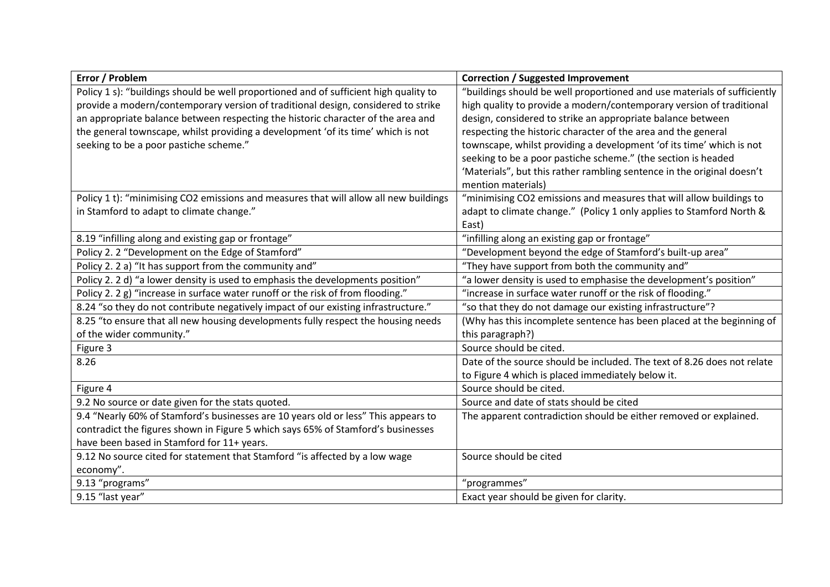| Error / Problem                                                                       | <b>Correction / Suggested Improvement</b>                                |
|---------------------------------------------------------------------------------------|--------------------------------------------------------------------------|
| Policy 1 s): "buildings should be well proportioned and of sufficient high quality to | "buildings should be well proportioned and use materials of sufficiently |
| provide a modern/contemporary version of traditional design, considered to strike     | high quality to provide a modern/contemporary version of traditional     |
| an appropriate balance between respecting the historic character of the area and      | design, considered to strike an appropriate balance between              |
| the general townscape, whilst providing a development 'of its time' which is not      | respecting the historic character of the area and the general            |
| seeking to be a poor pastiche scheme."                                                | townscape, whilst providing a development 'of its time' which is not     |
|                                                                                       | seeking to be a poor pastiche scheme." (the section is headed            |
|                                                                                       | 'Materials", but this rather rambling sentence in the original doesn't   |
|                                                                                       | mention materials)                                                       |
| Policy 1 t): "minimising CO2 emissions and measures that will allow all new buildings | "minimising CO2 emissions and measures that will allow buildings to      |
| in Stamford to adapt to climate change."                                              | adapt to climate change." (Policy 1 only applies to Stamford North &     |
|                                                                                       | East)                                                                    |
| 8.19 "infilling along and existing gap or frontage"                                   | "infilling along an existing gap or frontage"                            |
| Policy 2. 2 "Development on the Edge of Stamford"                                     | "Development beyond the edge of Stamford's built-up area"                |
| Policy 2. 2 a) "It has support from the community and"                                | "They have support from both the community and"                          |
| Policy 2. 2 d) "a lower density is used to emphasis the developments position"        | "a lower density is used to emphasise the development's position"        |
| Policy 2. 2 g) "increase in surface water runoff or the risk of from flooding."       | "increase in surface water runoff or the risk of flooding."              |
| 8.24 "so they do not contribute negatively impact of our existing infrastructure."    | "so that they do not damage our existing infrastructure"?                |
| 8.25 "to ensure that all new housing developments fully respect the housing needs     | (Why has this incomplete sentence has been placed at the beginning of    |
| of the wider community."                                                              | this paragraph?)                                                         |
| Figure 3                                                                              | Source should be cited.                                                  |
| 8.26                                                                                  | Date of the source should be included. The text of 8.26 does not relate  |
|                                                                                       | to Figure 4 which is placed immediately below it.                        |
| Figure 4                                                                              | Source should be cited.                                                  |
| 9.2 No source or date given for the stats quoted.                                     | Source and date of stats should be cited                                 |
| 9.4 "Nearly 60% of Stamford's businesses are 10 years old or less" This appears to    | The apparent contradiction should be either removed or explained.        |
| contradict the figures shown in Figure 5 which says 65% of Stamford's businesses      |                                                                          |
| have been based in Stamford for 11+ years.                                            |                                                                          |
| 9.12 No source cited for statement that Stamford "is affected by a low wage           | Source should be cited                                                   |
| economy".                                                                             |                                                                          |
| 9.13 "programs"                                                                       | "programmes"                                                             |
| 9.15 "last year"                                                                      | Exact year should be given for clarity.                                  |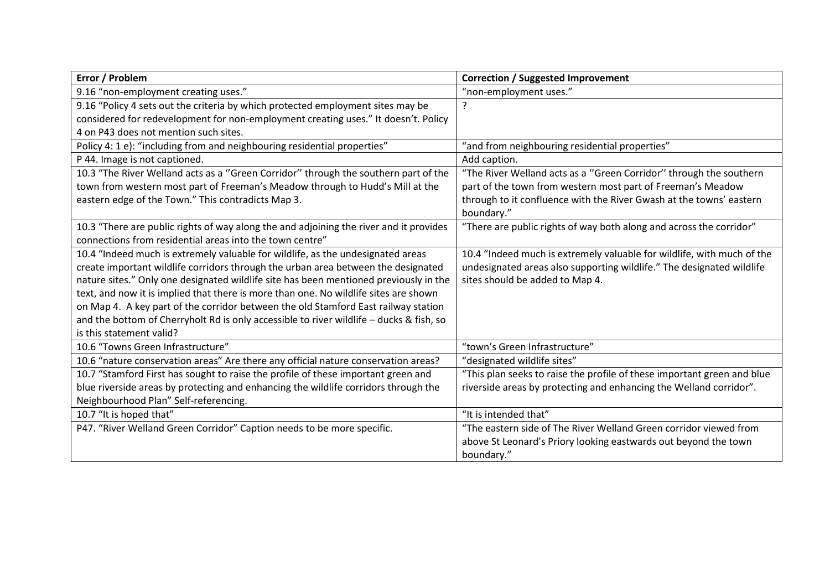| Error / Problem                                                                         | <b>Correction / Suggested Improvement</b>                               |
|-----------------------------------------------------------------------------------------|-------------------------------------------------------------------------|
| 9.16 "non-employment creating uses."                                                    | "non-employment uses."                                                  |
| 9.16 "Policy 4 sets out the criteria by which protected employment sites may be         | ?                                                                       |
| considered for redevelopment for non-employment creating uses." It doesn't. Policy      |                                                                         |
| 4 on P43 does not mention such sites.                                                   |                                                                         |
| Policy 4: 1 e): "including from and neighbouring residential properties"                | "and from neighbouring residential properties"                          |
| P 44. Image is not captioned.                                                           | Add caption.                                                            |
| 10.3 "The River Welland acts as a "Green Corridor" through the southern part of the     | "The River Welland acts as a "Green Corridor" through the southern      |
| town from western most part of Freeman's Meadow through to Hudd's Mill at the           | part of the town from western most part of Freeman's Meadow             |
| eastern edge of the Town." This contradicts Map 3.                                      | through to it confluence with the River Gwash at the towns' eastern     |
|                                                                                         | boundary."                                                              |
| 10.3 "There are public rights of way along the and adjoining the river and it provides  | "There are public rights of way both along and across the corridor"     |
| connections from residential areas into the town centre"                                |                                                                         |
| 10.4 "Indeed much is extremely valuable for wildlife, as the undesignated areas         | 10.4 "Indeed much is extremely valuable for wildlife, with much of the  |
| create important wildlife corridors through the urban area between the designated       | undesignated areas also supporting wildlife." The designated wildlife   |
| nature sites." Only one designated wildlife site has been mentioned previously in the   | sites should be added to Map 4.                                         |
| text, and now it is implied that there is more than one. No wildlife sites are shown    |                                                                         |
| on Map 4. A key part of the corridor between the old Stamford East railway station      |                                                                         |
| and the bottom of Cherryholt Rd is only accessible to river wildlife - ducks & fish, so |                                                                         |
| is this statement valid?                                                                |                                                                         |
| 10.6 "Towns Green Infrastructure"                                                       | "town's Green Infrastructure"                                           |
| 10.6 "nature conservation areas" Are there any official nature conservation areas?      | "designated wildlife sites"                                             |
| 10.7 "Stamford First has sought to raise the profile of these important green and       | "This plan seeks to raise the profile of these important green and blue |
| blue riverside areas by protecting and enhancing the wildlife corridors through the     | riverside areas by protecting and enhancing the Welland corridor".      |
| Neighbourhood Plan" Self-referencing.                                                   |                                                                         |
| 10.7 "It is hoped that"                                                                 | "It is intended that"                                                   |
| P47. "River Welland Green Corridor" Caption needs to be more specific.                  | "The eastern side of The River Welland Green corridor viewed from       |
|                                                                                         | above St Leonard's Priory looking eastwards out beyond the town         |
|                                                                                         | boundary."                                                              |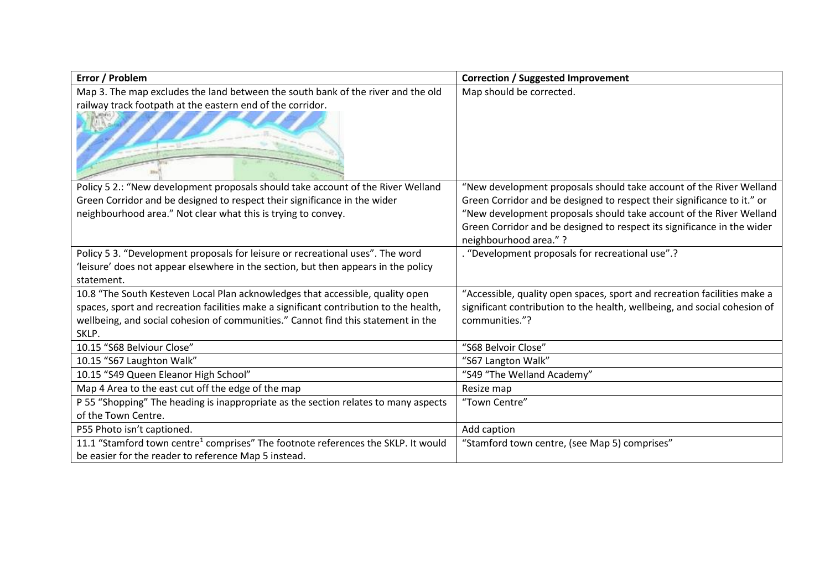| "New development proposals should take account of the River Welland       |
|---------------------------------------------------------------------------|
| Green Corridor and be designed to respect their significance to it." or   |
| "New development proposals should take account of the River Welland       |
| Green Corridor and be designed to respect its significance in the wider   |
|                                                                           |
|                                                                           |
|                                                                           |
|                                                                           |
| "Accessible, quality open spaces, sport and recreation facilities make a  |
| significant contribution to the health, wellbeing, and social cohesion of |
|                                                                           |
|                                                                           |
|                                                                           |
|                                                                           |
|                                                                           |
|                                                                           |
|                                                                           |
|                                                                           |
|                                                                           |
|                                                                           |
|                                                                           |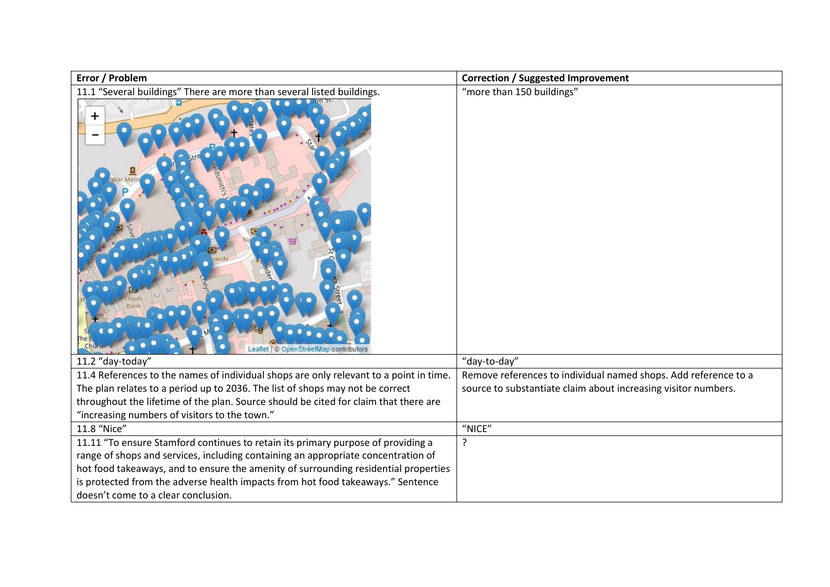| Error / Problem                                                                                                                                                         | <b>Correction / Suggested Improvement</b>                                                                                         |
|-------------------------------------------------------------------------------------------------------------------------------------------------------------------------|-----------------------------------------------------------------------------------------------------------------------------------|
| 11.1 "Several buildings" There are more than several listed buildings.<br>÷<br>© OpenStreetMap contributors                                                             | "more than 150 buildings"                                                                                                         |
| 11.2 "day-today"                                                                                                                                                        | "day-to-day"                                                                                                                      |
| 11.4 References to the names of individual shops are only relevant to a point in time.<br>The plan relates to a period up to 2036. The list of shops may not be correct | Remove references to individual named shops. Add reference to a<br>source to substantiate claim about increasing visitor numbers. |
| throughout the lifetime of the plan. Source should be cited for claim that there are                                                                                    |                                                                                                                                   |
| "increasing numbers of visitors to the town."                                                                                                                           |                                                                                                                                   |
| 11.8 "Nice"                                                                                                                                                             | "NICE"                                                                                                                            |
| 11.11 "To ensure Stamford continues to retain its primary purpose of providing a                                                                                        | ?                                                                                                                                 |
| range of shops and services, including containing an appropriate concentration of                                                                                       |                                                                                                                                   |
| hot food takeaways, and to ensure the amenity of surrounding residential properties                                                                                     |                                                                                                                                   |
| is protected from the adverse health impacts from hot food takeaways." Sentence                                                                                         |                                                                                                                                   |
| doesn't come to a clear conclusion.                                                                                                                                     |                                                                                                                                   |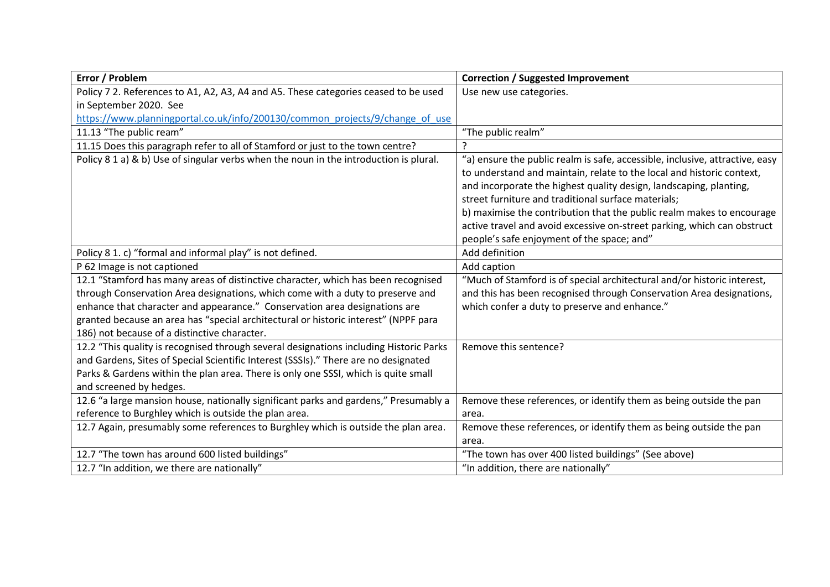| Error / Problem                                                                        | <b>Correction / Suggested Improvement</b>                                    |
|----------------------------------------------------------------------------------------|------------------------------------------------------------------------------|
| Policy 7 2. References to A1, A2, A3, A4 and A5. These categories ceased to be used    | Use new use categories.                                                      |
| in September 2020. See                                                                 |                                                                              |
| https://www.planningportal.co.uk/info/200130/common_projects/9/change_of_use           |                                                                              |
| 11.13 "The public ream"                                                                | "The public realm"                                                           |
| 11.15 Does this paragraph refer to all of Stamford or just to the town centre?         |                                                                              |
| Policy 8 1 a) & b) Use of singular verbs when the noun in the introduction is plural.  | "a) ensure the public realm is safe, accessible, inclusive, attractive, easy |
|                                                                                        | to understand and maintain, relate to the local and historic context,        |
|                                                                                        | and incorporate the highest quality design, landscaping, planting,           |
|                                                                                        | street furniture and traditional surface materials;                          |
|                                                                                        | b) maximise the contribution that the public realm makes to encourage        |
|                                                                                        | active travel and avoid excessive on-street parking, which can obstruct      |
|                                                                                        | people's safe enjoyment of the space; and"                                   |
| Policy 8 1. c) "formal and informal play" is not defined.                              | Add definition                                                               |
| P 62 Image is not captioned                                                            | Add caption                                                                  |
| 12.1 "Stamford has many areas of distinctive character, which has been recognised      | "Much of Stamford is of special architectural and/or historic interest,      |
| through Conservation Area designations, which come with a duty to preserve and         | and this has been recognised through Conservation Area designations,         |
| enhance that character and appearance." Conservation area designations are             | which confer a duty to preserve and enhance."                                |
| granted because an area has "special architectural or historic interest" (NPPF para    |                                                                              |
| 186) not because of a distinctive character.                                           |                                                                              |
| 12.2 "This quality is recognised through several designations including Historic Parks | Remove this sentence?                                                        |
| and Gardens, Sites of Special Scientific Interest (SSSIs)." There are no designated    |                                                                              |
| Parks & Gardens within the plan area. There is only one SSSI, which is quite small     |                                                                              |
| and screened by hedges.                                                                |                                                                              |
| 12.6 "a large mansion house, nationally significant parks and gardens," Presumably a   | Remove these references, or identify them as being outside the pan           |
| reference to Burghley which is outside the plan area.                                  | area.                                                                        |
| 12.7 Again, presumably some references to Burghley which is outside the plan area.     | Remove these references, or identify them as being outside the pan           |
|                                                                                        | area.                                                                        |
| 12.7 "The town has around 600 listed buildings"                                        | "The town has over 400 listed buildings" (See above)                         |
| 12.7 "In addition, we there are nationally"                                            | "In addition, there are nationally"                                          |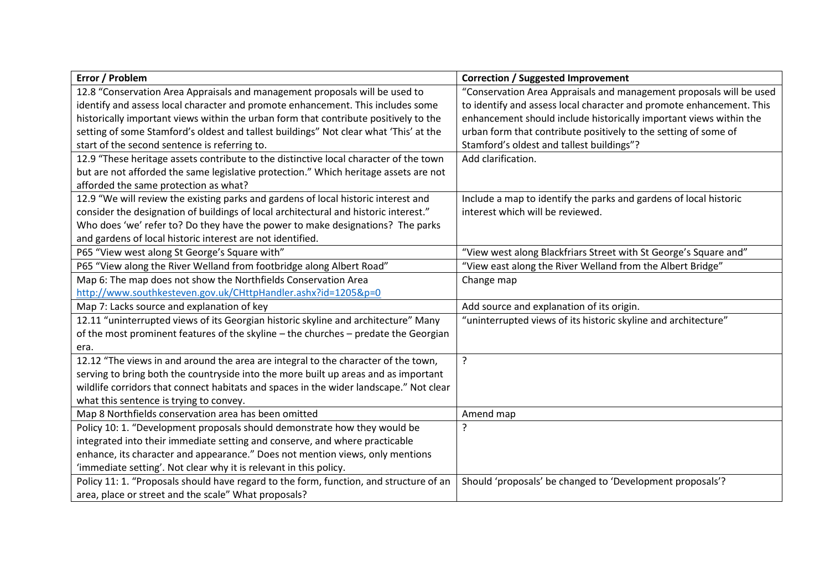| Error / Problem                                                                        | <b>Correction / Suggested Improvement</b>                            |
|----------------------------------------------------------------------------------------|----------------------------------------------------------------------|
| 12.8 "Conservation Area Appraisals and management proposals will be used to            | "Conservation Area Appraisals and management proposals will be used  |
| identify and assess local character and promote enhancement. This includes some        | to identify and assess local character and promote enhancement. This |
| historically important views within the urban form that contribute positively to the   | enhancement should include historically important views within the   |
| setting of some Stamford's oldest and tallest buildings" Not clear what 'This' at the  | urban form that contribute positively to the setting of some of      |
| start of the second sentence is referring to.                                          | Stamford's oldest and tallest buildings"?                            |
| 12.9 "These heritage assets contribute to the distinctive local character of the town  | Add clarification.                                                   |
| but are not afforded the same legislative protection." Which heritage assets are not   |                                                                      |
| afforded the same protection as what?                                                  |                                                                      |
| 12.9 "We will review the existing parks and gardens of local historic interest and     | Include a map to identify the parks and gardens of local historic    |
| consider the designation of buildings of local architectural and historic interest."   | interest which will be reviewed.                                     |
| Who does 'we' refer to? Do they have the power to make designations? The parks         |                                                                      |
| and gardens of local historic interest are not identified.                             |                                                                      |
| P65 "View west along St George's Square with"                                          | "View west along Blackfriars Street with St George's Square and"     |
| P65 "View along the River Welland from footbridge along Albert Road"                   | "View east along the River Welland from the Albert Bridge"           |
| Map 6: The map does not show the Northfields Conservation Area                         | Change map                                                           |
| http://www.southkesteven.gov.uk/CHttpHandler.ashx?id=1205&p=0                          |                                                                      |
| Map 7: Lacks source and explanation of key                                             | Add source and explanation of its origin.                            |
| 12.11 "uninterrupted views of its Georgian historic skyline and architecture" Many     | "uninterrupted views of its historic skyline and architecture"       |
| of the most prominent features of the skyline - the churches - predate the Georgian    |                                                                      |
| era.                                                                                   |                                                                      |
| 12.12 "The views in and around the area are integral to the character of the town,     | ?                                                                    |
| serving to bring both the countryside into the more built up areas and as important    |                                                                      |
| wildlife corridors that connect habitats and spaces in the wider landscape." Not clear |                                                                      |
| what this sentence is trying to convey.                                                |                                                                      |
| Map 8 Northfields conservation area has been omitted                                   | Amend map                                                            |
| Policy 10: 1. "Development proposals should demonstrate how they would be              | ?                                                                    |
| integrated into their immediate setting and conserve, and where practicable            |                                                                      |
| enhance, its character and appearance." Does not mention views, only mentions          |                                                                      |
| 'immediate setting'. Not clear why it is relevant in this policy.                      |                                                                      |
| Policy 11: 1. "Proposals should have regard to the form, function, and structure of an | Should 'proposals' be changed to 'Development proposals'?            |
| area, place or street and the scale" What proposals?                                   |                                                                      |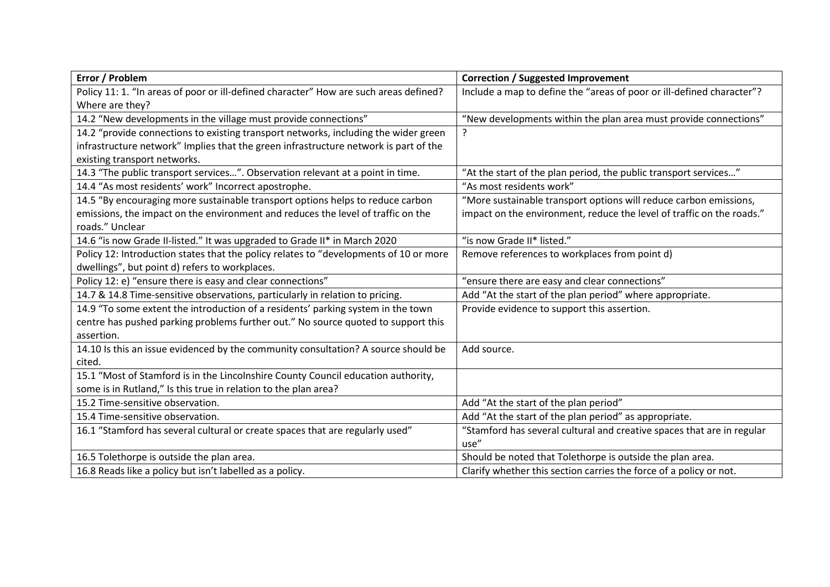| Error / Problem                                                                       | <b>Correction / Suggested Improvement</b>                              |
|---------------------------------------------------------------------------------------|------------------------------------------------------------------------|
| Policy 11: 1. "In areas of poor or ill-defined character" How are such areas defined? | Include a map to define the "areas of poor or ill-defined character"?  |
| Where are they?                                                                       |                                                                        |
| 14.2 "New developments in the village must provide connections"                       | "New developments within the plan area must provide connections"       |
| 14.2 "provide connections to existing transport networks, including the wider green   | ?                                                                      |
| infrastructure network" Implies that the green infrastructure network is part of the  |                                                                        |
| existing transport networks.                                                          |                                                                        |
| 14.3 "The public transport services". Observation relevant at a point in time.        | "At the start of the plan period, the public transport services"       |
| 14.4 "As most residents' work" Incorrect apostrophe.                                  | "As most residents work"                                               |
| 14.5 "By encouraging more sustainable transport options helps to reduce carbon        | "More sustainable transport options will reduce carbon emissions,      |
| emissions, the impact on the environment and reduces the level of traffic on the      | impact on the environment, reduce the level of traffic on the roads."  |
| roads." Unclear                                                                       |                                                                        |
| 14.6 "is now Grade II-listed." It was upgraded to Grade II* in March 2020             | "is now Grade II* listed."                                             |
| Policy 12: Introduction states that the policy relates to "developments of 10 or more | Remove references to workplaces from point d)                          |
| dwellings", but point d) refers to workplaces.                                        |                                                                        |
| Policy 12: e) "ensure there is easy and clear connections"                            | "ensure there are easy and clear connections"                          |
| 14.7 & 14.8 Time-sensitive observations, particularly in relation to pricing.         | Add "At the start of the plan period" where appropriate.               |
| 14.9 "To some extent the introduction of a residents' parking system in the town      | Provide evidence to support this assertion.                            |
| centre has pushed parking problems further out." No source quoted to support this     |                                                                        |
| assertion.                                                                            |                                                                        |
| 14.10 Is this an issue evidenced by the community consultation? A source should be    | Add source.                                                            |
| cited.                                                                                |                                                                        |
| 15.1 "Most of Stamford is in the Lincolnshire County Council education authority,     |                                                                        |
| some is in Rutland," Is this true in relation to the plan area?                       |                                                                        |
| 15.2 Time-sensitive observation.                                                      | Add "At the start of the plan period"                                  |
| 15.4 Time-sensitive observation.                                                      | Add "At the start of the plan period" as appropriate.                  |
| 16.1 "Stamford has several cultural or create spaces that are regularly used"         | "Stamford has several cultural and creative spaces that are in regular |
|                                                                                       | use"                                                                   |
| 16.5 Tolethorpe is outside the plan area.                                             | Should be noted that Tolethorpe is outside the plan area.              |
| 16.8 Reads like a policy but isn't labelled as a policy.                              | Clarify whether this section carries the force of a policy or not.     |